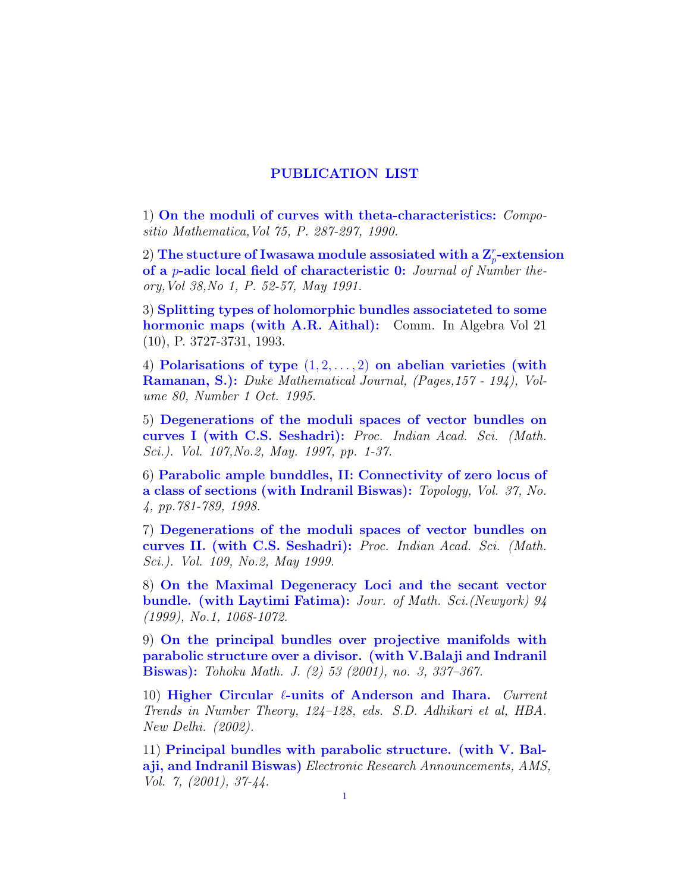## PUBLICATION LIST

1) On the moduli of curves with theta-characteristics: Compositio Mathematica,Vol 75, P. 287-297, 1990.

2) The stucture of Iwasawa module assosiated with a  $\mathbf{Z}_p^r\text{-extension}$ of a p-adic local field of characteristic 0: Journal of Number theory,Vol 38,No 1, P. 52-57, May 1991.

3) Splitting types of holomorphic bundles associateted to some hormonic maps (with A.R. Aithal): Comm. In Algebra Vol 21 (10), P. 3727-3731, 1993.

4) Polarisations of type  $(1, 2, \ldots, 2)$  on abelian varieties (with Ramanan, S.): Duke Mathematical Journal, (Pages,157 - 194), Volume 80, Number 1 Oct. 1995.

5) Degenerations of the moduli spaces of vector bundles on curves I (with C.S. Seshadri): Proc. Indian Acad. Sci. (Math. Sci.). Vol. 107,No.2, May. 1997, pp. 1-37.

6) Parabolic ample bunddles, II: Connectivity of zero locus of a class of sections (with Indranil Biswas): Topology, Vol. 37, No. 4, pp.781-789, 1998.

7) Degenerations of the moduli spaces of vector bundles on curves II. (with C.S. Seshadri): Proc. Indian Acad. Sci. (Math. Sci.). Vol. 109, No.2, May 1999.

8) On the Maximal Degeneracy Loci and the secant vector bundle. (with Laytimi Fatima): Jour. of Math. Sci.(Newyork) 94 (1999), No.1, 1068-1072.

9) On the principal bundles over projective manifolds with parabolic structure over a divisor. (with V.Balaji and Indranil Biswas): Tohoku Math. J. (2) 53 (2001), no. 3, 337–367.

10) Higher Circular  $\ell$ -units of Anderson and Ihara. Current Trends in Number Theory, 124–128, eds. S.D. Adhikari et al, HBA. New Delhi. (2002).

11) Principal bundles with parabolic structure. (with V. Balaji, and Indranil Biswas) Electronic Research Announcements, AMS, Vol. 7, (2001), 37-44.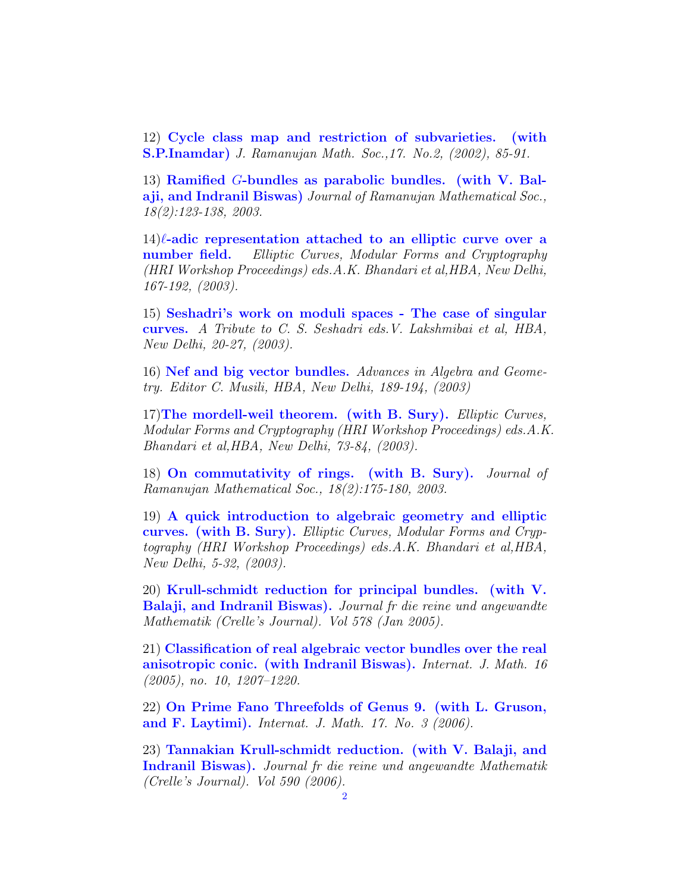12) Cycle class map and restriction of subvarieties. (with S.P.Inamdar) J. Ramanujan Math. Soc.,17. No.2, (2002), 85-91.

13) Ramified G-bundles as parabolic bundles. (with V. Balaji, and Indranil Biswas) Journal of Ramanujan Mathematical Soc., 18(2):123-138, 2003.

 $14)$ l-adic representation attached to an elliptic curve over a number field. Elliptic Curves, Modular Forms and Cryptography (HRI Workshop Proceedings) eds.A.K. Bhandari et al,HBA, New Delhi, 167-192, (2003).

15) Seshadri's work on moduli spaces - The case of singular curves. A Tribute to C. S. Seshadri eds.V. Lakshmibai et al, HBA, New Delhi, 20-27, (2003).

16) Nef and big vector bundles. Advances in Algebra and Geometry. Editor C. Musili, HBA, New Delhi, 189-194, (2003)

17)The mordell-weil theorem. (with B. Sury). Elliptic Curves, Modular Forms and Cryptography (HRI Workshop Proceedings) eds.A.K. Bhandari et al,HBA, New Delhi, 73-84, (2003).

18) On commutativity of rings. (with B. Sury). Journal of Ramanujan Mathematical Soc., 18(2):175-180, 2003.

19) A quick introduction to algebraic geometry and elliptic curves. (with B. Sury). Elliptic Curves, Modular Forms and Cryptography (HRI Workshop Proceedings) eds.A.K. Bhandari et al,HBA, New Delhi, 5-32, (2003).

20) Krull-schmidt reduction for principal bundles. (with V. Balaji, and Indranil Biswas). Journal fr die reine und angewandte Mathematik (Crelle's Journal). Vol 578 (Jan 2005).

21) Classification of real algebraic vector bundles over the real anisotropic conic. (with Indranil Biswas). Internat. J. Math. 16 (2005), no. 10, 1207–1220.

22) On Prime Fano Threefolds of Genus 9. (with L. Gruson, and F. Laytimi). Internat. J. Math. 17. No. 3 (2006).

23) Tannakian Krull-schmidt reduction. (with V. Balaji, and Indranil Biswas). Journal fr die reine und angewandte Mathematik (Crelle's Journal). Vol 590 (2006).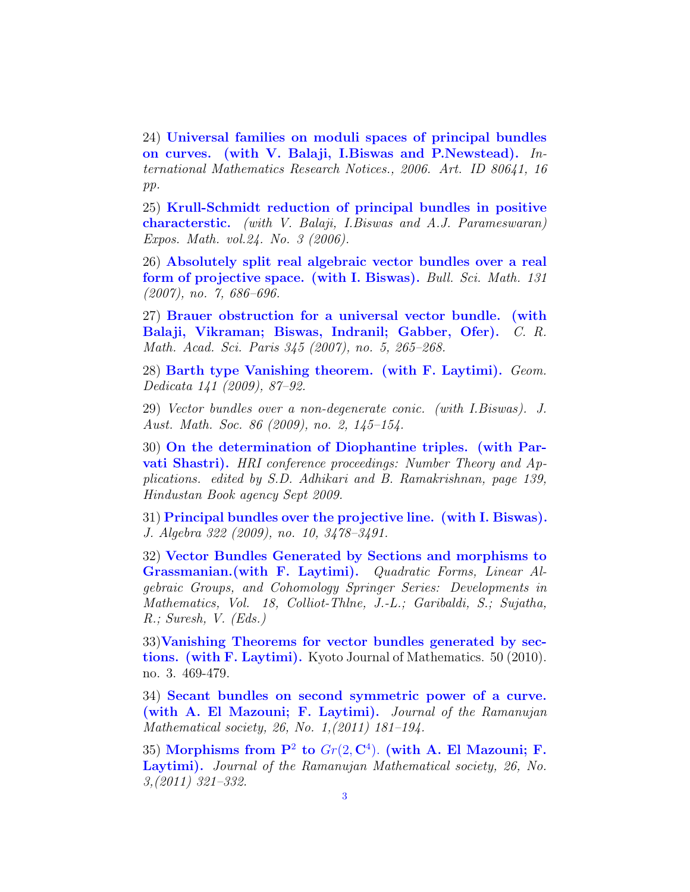24) Universal families on moduli spaces of principal bundles on curves. (with V. Balaji, I.Biswas and P.Newstead). International Mathematics Research Notices., 2006. Art. ID 80641, 16 pp.

25) Krull-Schmidt reduction of principal bundles in positive characterstic. (with V. Balaji, I.Biswas and A.J. Parameswaran) Expos. Math. vol.24. No. 3 (2006).

26) Absolutely split real algebraic vector bundles over a real form of projective space. (with I. Biswas). Bull. Sci. Math. 131 (2007), no. 7, 686–696.

27) Brauer obstruction for a universal vector bundle. (with Balaji, Vikraman; Biswas, Indranil; Gabber, Ofer). C. R. Math. Acad. Sci. Paris 345 (2007), no. 5, 265–268.

28) Barth type Vanishing theorem. (with F. Laytimi). Geom. Dedicata 141 (2009), 87–92.

29) Vector bundles over a non-degenerate conic. (with I.Biswas). J. Aust. Math. Soc. 86 (2009), no. 2, 145–154.

30) On the determination of Diophantine triples. (with Parvati Shastri). HRI conference proceedings: Number Theory and Applications. edited by S.D. Adhikari and B. Ramakrishnan, page 139, Hindustan Book agency Sept 2009.

31) Principal bundles over the projective line. (with I. Biswas). J. Algebra 322 (2009), no. 10, 3478–3491.

32) Vector Bundles Generated by Sections and morphisms to Grassmanian.(with F. Laytimi). Quadratic Forms, Linear Algebraic Groups, and Cohomology Springer Series: Developments in Mathematics, Vol. 18, Colliot-Thlne, J.-L.; Garibaldi, S.; Sujatha, R.; Suresh, V. (Eds.)

33)Vanishing Theorems for vector bundles generated by sections. (with F. Laytimi). Kyoto Journal of Mathematics. 50 (2010). no. 3. 469-479.

34) Secant bundles on second symmetric power of a curve. (with A. El Mazouni; F. Laytimi). Journal of the Ramanujan Mathematical society, 26, No. 1,(2011) 181–194.

35) Morphisms from  $P^2$  to  $Gr(2, \mathbb{C}^4)$ . (with A. El Mazouni; F. Laytimi). Journal of the Ramanujan Mathematical society, 26, No. 3,(2011) 321–332.